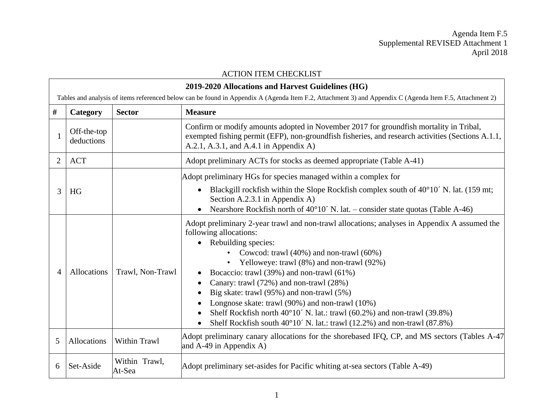Agenda Item F.5 Supplemental REVISED Attachment 1 April 2018

|                                                                                                                                                         | <b>ACTION ITEM CHECKLIST</b>                      |                         |                                                                                                                                                                                                                                                                                                                                                                                                                                                                                                                                                                                                                         |
|---------------------------------------------------------------------------------------------------------------------------------------------------------|---------------------------------------------------|-------------------------|-------------------------------------------------------------------------------------------------------------------------------------------------------------------------------------------------------------------------------------------------------------------------------------------------------------------------------------------------------------------------------------------------------------------------------------------------------------------------------------------------------------------------------------------------------------------------------------------------------------------------|
|                                                                                                                                                         | 2019-2020 Allocations and Harvest Guidelines (HG) |                         |                                                                                                                                                                                                                                                                                                                                                                                                                                                                                                                                                                                                                         |
| Tables and analysis of items referenced below can be found in Appendix A (Agenda Item F.2, Attachment 3) and Appendix C (Agenda Item F.5, Attachment 2) |                                                   |                         |                                                                                                                                                                                                                                                                                                                                                                                                                                                                                                                                                                                                                         |
| $\#$                                                                                                                                                    | Category                                          | <b>Sector</b>           | <b>Measure</b>                                                                                                                                                                                                                                                                                                                                                                                                                                                                                                                                                                                                          |
|                                                                                                                                                         | Off-the-top<br>deductions                         |                         | Confirm or modify amounts adopted in November 2017 for groundfish mortality in Tribal,<br>exempted fishing permit (EFP), non-groundfish fisheries, and research activities (Sections A.1.1,<br>A.2.1, A.3.1, and A.4.1 in Appendix A)                                                                                                                                                                                                                                                                                                                                                                                   |
| $\overline{2}$                                                                                                                                          | <b>ACT</b>                                        |                         | Adopt preliminary ACTs for stocks as deemed appropriate (Table A-41)                                                                                                                                                                                                                                                                                                                                                                                                                                                                                                                                                    |
| 3                                                                                                                                                       | HG                                                |                         | Adopt preliminary HGs for species managed within a complex for<br>Blackgill rockfish within the Slope Rockfish complex south of 40°10′ N. lat. (159 mt;<br>$\bullet$<br>Section A.2.3.1 in Appendix A)                                                                                                                                                                                                                                                                                                                                                                                                                  |
|                                                                                                                                                         |                                                   |                         | Nearshore Rockfish north of $40^{\circ}10'$ N. lat. – consider state quotas (Table A-46)                                                                                                                                                                                                                                                                                                                                                                                                                                                                                                                                |
| Δ                                                                                                                                                       | Allocations                                       | Trawl, Non-Trawl        | Adopt preliminary 2-year trawl and non-trawl allocations; analyses in Appendix A assumed the<br>following allocations:<br>Rebuilding species:<br>$\bullet$<br>• Cowcod: trawl $(40\%)$ and non-trawl $(60\%)$<br>Yelloweye: trawl (8%) and non-trawl (92%)<br>Bocaccio: trawl (39%) and non-trawl (61%)<br>Canary: trawl (72%) and non-trawl (28%)<br>Big skate: trawl (95%) and non-trawl (5%)<br>Longnose skate: trawl (90%) and non-trawl (10%)<br>Shelf Rockfish north 40°10′ N. lat.: trawl (60.2%) and non-trawl (39.8%)<br>Shelf Rockfish south 40°10′ N. lat.: trawl (12.2%) and non-trawl (87.8%)<br>$\bullet$ |
| 5                                                                                                                                                       | Allocations                                       | Within Trawl            | Adopt preliminary canary allocations for the shorebased IFQ, CP, and MS sectors (Tables A-47)<br>and A-49 in Appendix A)                                                                                                                                                                                                                                                                                                                                                                                                                                                                                                |
| 6                                                                                                                                                       | Set-Aside                                         | Within Trawl,<br>At-Sea | Adopt preliminary set-asides for Pacific whiting at-sea sectors (Table A-49)                                                                                                                                                                                                                                                                                                                                                                                                                                                                                                                                            |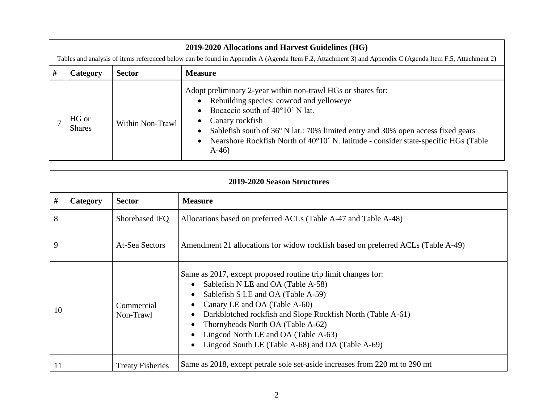|   | 2019-2020 Allocations and Harvest Guidelines (HG)                                                                                                       |                  |                                                                                                                                                                                                                                                                                                                                                                             |  |
|---|---------------------------------------------------------------------------------------------------------------------------------------------------------|------------------|-----------------------------------------------------------------------------------------------------------------------------------------------------------------------------------------------------------------------------------------------------------------------------------------------------------------------------------------------------------------------------|--|
|   | Tables and analysis of items referenced below can be found in Appendix A (Agenda Item F.2, Attachment 3) and Appendix C (Agenda Item F.5, Attachment 2) |                  |                                                                                                                                                                                                                                                                                                                                                                             |  |
| # | <b>Category</b>                                                                                                                                         | <b>Sector</b>    | <b>Measure</b>                                                                                                                                                                                                                                                                                                                                                              |  |
|   | HG or<br><b>Shares</b>                                                                                                                                  | Within Non-Trawl | Adopt preliminary 2-year within non-trawl HGs or shares for:<br>• Rebuilding species: cowcod and yelloweye<br>Bocaccio south of $40^{\circ}10'$ N lat.<br>• Canary rockfish<br>Sablefish south of 36° N lat.: 70% limited entry and 30% open access fixed gears<br>• Nearshore Rockfish North of $40^{\circ}10'$ N. latitude - consider state-specific HGs (Table<br>$A-46$ |  |

| 2019-2020 Season Structures |          |                         |                                                                                                                                                                                                                                                                                                                                                                                                                                                           |
|-----------------------------|----------|-------------------------|-----------------------------------------------------------------------------------------------------------------------------------------------------------------------------------------------------------------------------------------------------------------------------------------------------------------------------------------------------------------------------------------------------------------------------------------------------------|
| #                           | Category | <b>Sector</b>           | <b>Measure</b>                                                                                                                                                                                                                                                                                                                                                                                                                                            |
| 8                           |          | Shorebased IFQ          | Allocations based on preferred ACLs (Table A-47 and Table A-48)                                                                                                                                                                                                                                                                                                                                                                                           |
| 9                           |          | At-Sea Sectors          | Amendment 21 allocations for widow rockfish based on preferred ACLs (Table A-49)                                                                                                                                                                                                                                                                                                                                                                          |
| 10                          |          | Commercial<br>Non-Trawl | Same as 2017, except proposed routine trip limit changes for:<br>Sablefish N LE and OA (Table A-58)<br>$\bullet$<br>Sablefish S LE and OA (Table A-59)<br>$\bullet$<br>Canary LE and OA (Table A-60)<br>$\bullet$<br>Darkblotched rockfish and Slope Rockfish North (Table A-61)<br>$\bullet$<br>Thornyheads North OA (Table A-62)<br>$\bullet$<br>Lingcod North LE and OA (Table A-63)<br>$\bullet$<br>Lingcod South LE (Table A-68) and OA (Table A-69) |
| 11                          |          | <b>Treaty Fisheries</b> | Same as 2018, except petrale sole set-aside increases from 220 mt to 290 mt                                                                                                                                                                                                                                                                                                                                                                               |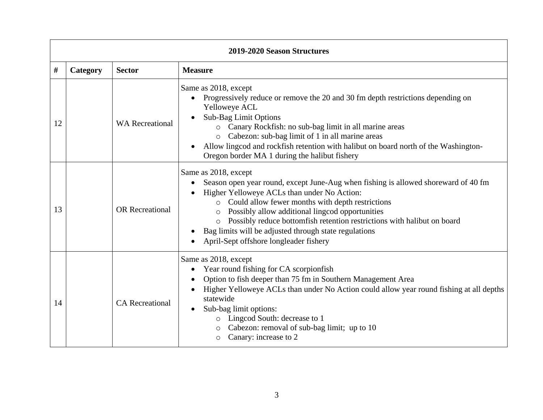|    | 2019-2020 Season Structures |                        |                                                                                                                                                                                                                                                                                                                                                                                                                                                                                              |  |
|----|-----------------------------|------------------------|----------------------------------------------------------------------------------------------------------------------------------------------------------------------------------------------------------------------------------------------------------------------------------------------------------------------------------------------------------------------------------------------------------------------------------------------------------------------------------------------|--|
| #  | Category                    | <b>Sector</b>          | <b>Measure</b>                                                                                                                                                                                                                                                                                                                                                                                                                                                                               |  |
| 12 |                             | <b>WA</b> Recreational | Same as 2018, except<br>Progressively reduce or remove the 20 and 30 fm depth restrictions depending on<br>Yelloweye ACL<br><b>Sub-Bag Limit Options</b><br>o Canary Rockfish: no sub-bag limit in all marine areas<br>Cabezon: sub-bag limit of 1 in all marine areas<br>$\circ$<br>Allow lingcod and rockfish retention with halibut on board north of the Washington-<br>Oregon border MA 1 during the halibut fishery                                                                    |  |
| 13 |                             | <b>OR</b> Recreational | Same as 2018, except<br>Season open year round, except June-Aug when fishing is allowed shoreward of 40 fm<br>$\bullet$<br>Higher Yelloweye ACLs than under No Action:<br>Could allow fewer months with depth restrictions<br>$\circ$<br>Possibly allow additional lingcod opportunities<br>$\circ$<br>Possibly reduce bottomfish retention restrictions with halibut on board<br>$\circ$<br>Bag limits will be adjusted through state regulations<br>April-Sept offshore longleader fishery |  |
| 14 |                             | <b>CA</b> Recreational | Same as 2018, except<br>Year round fishing for CA scorpionfish<br>$\bullet$<br>Option to fish deeper than 75 fm in Southern Management Area<br>$\bullet$<br>Higher Yelloweye ACLs than under No Action could allow year round fishing at all depths<br>statewide<br>Sub-bag limit options:<br>$\bullet$<br>o Lingcod South: decrease to 1<br>Cabezon: removal of sub-bag limit; up to 10<br>Canary: increase to 2<br>$\circ$                                                                 |  |